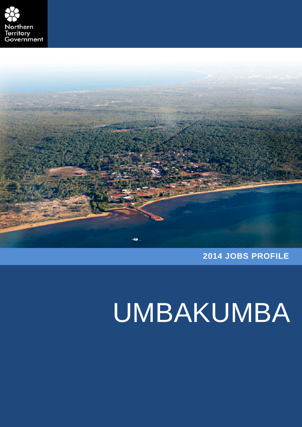



**2014 JOBS PROFILE**

# UMBAKUMBA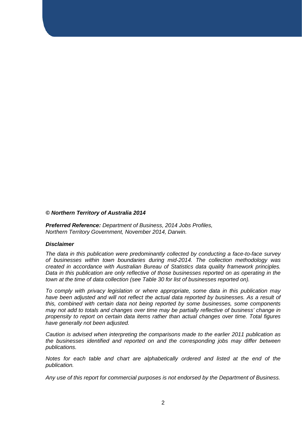#### *© Northern Territory of Australia 2014*

*Preferred Reference: Department of Business, 2014 Jobs Profiles, Northern Territory Government, November 2014, Darwin.*

#### *Disclaimer*

*The data in this publication were predominantly collected by conducting a face-to-face survey of businesses within town boundaries during mid-2014. The collection methodology was created in accordance with Australian Bureau of Statistics data quality framework principles. Data in this publication are only reflective of those businesses reported on as operating in the town at the time of data collection (see Table 30 for list of businesses reported on).*

*To comply with privacy legislation or where appropriate, some data in this publication may*  have been adjusted and will not reflect the actual data reported by businesses. As a result of *this, combined with certain data not being reported by some businesses, some components may not add to totals and changes over time may be partially reflective of business' change in propensity to report on certain data items rather than actual changes over time. Total figures have generally not been adjusted.*

*Caution is advised when interpreting the comparisons made to the earlier 2011 publication as the businesses identified and reported on and the corresponding jobs may differ between publications.*

*Notes for each table and chart are alphabetically ordered and listed at the end of the publication.* 

*Any use of this report for commercial purposes is not endorsed by the Department of Business.*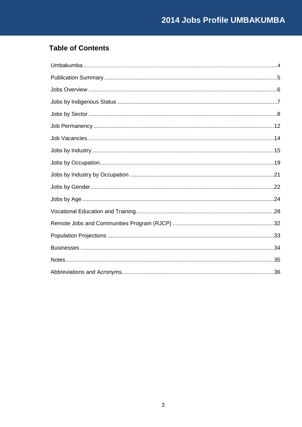## **Table of Contents**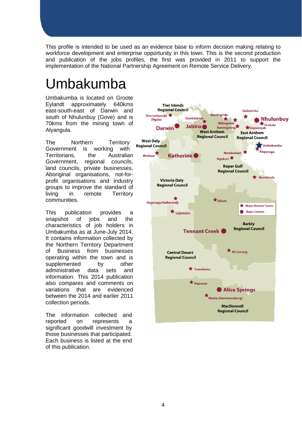This profile is intended to be used as an evidence base to inform decision making relating to workforce development and enterprise opportunity in this town. This is the second production and publication of the jobs profiles, the first was provided in 2011 to support the implementation of the National Partnership Agreement on Remote Service Delivery.

## <span id="page-3-0"></span>Umbakumba

Umbakumba is located on Groote<br>Evlandt approximately 640kms Eylandt approximately east-south-east of Darwin and south of Nhulunbuy (Gove) and is 70kms from the mining town of Alyangula.

The Northern Territory<br>Government is working with Government Territorians, the Australian Government, regional councils, land councils, private businesses, Aboriginal organisations, not-forprofit organisations and industry groups to improve the standard of living in remote Territory communities.

This publication provides a<br>snapshot of iobs and the snapshot of jobs and the characteristics of job holders in Umbakumba as at June-July 2014. It contains information collected by the Northern Territory Department of Business from businesses operating within the town and is<br>supplemented by other supplemented by administrative data sets and information. This 2014 publication also compares and comments on variations that are evidenced between the 2014 and earlier 2011 collection periods.

The information collected and reported on represents a significant goodwill investment by those businesses that participated. Each business is listed at the end of this publication.

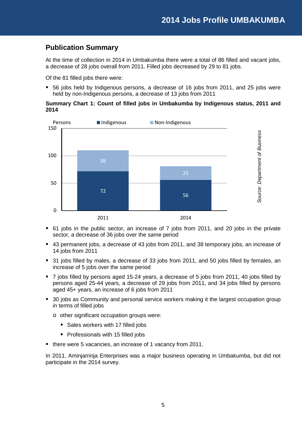## <span id="page-4-0"></span>**Publication Summary**

At the time of collection in 2014 in Umbakumba there were a total of 86 filled and vacant jobs, a decrease of 28 jobs overall from 2011. Filled jobs decreased by 29 to 81 jobs.

Of the 81 filled jobs there were:

 56 jobs held by Indigenous persons, a decrease of 16 jobs from 2011, and 25 jobs were held by non-Indigenous persons, a decrease of 13 jobs from 2011

#### **Summary Chart 1: Count of filled jobs in Umbakumba by Indigenous status, 2011 and 2014**



- 61 jobs in the public sector, an increase of 7 jobs from 2011, and 20 jobs in the private sector, a decrease of 36 jobs over the same period
- 43 permanent jobs, a decrease of 43 jobs from 2011, and 38 temporary jobs, an increase of 14 jobs from 2011
- 31 jobs filled by males, a decrease of 33 jobs from 2011, and 50 jobs filled by females, an increase of 5 jobs over the same period
- 7 jobs filled by persons aged 15-24 years, a decrease of 5 jobs from 2011, 40 jobs filled by persons aged 25-44 years, a decrease of 29 jobs from 2011, and 34 jobs filled by persons aged 45+ years, an increase of 6 jobs from 2011
- 30 jobs as Community and personal service workers making it the largest occupation group in terms of filled jobs
	- o other significant occupation groups were:
		- Sales workers with 17 filled jobs
		- Professionals with 15 filled jobs
- there were 5 vacancies, an increase of 1 vacancy from 2011.

In 2011, Aminjarrinja Enterprises was a major business operating in Umbakumba, but did not participate in the 2014 survey.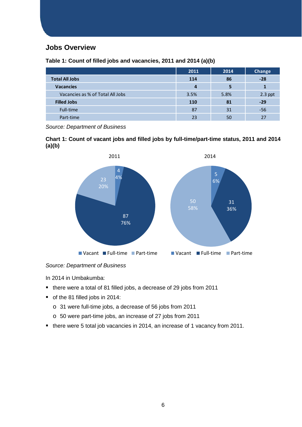## <span id="page-5-0"></span>**Jobs Overview**

**2011 2014 Change Total All Jobs 114 86 -28 Vacancies 4 5 1** Vacancies as % of Total All Jobs 3.5% 5.8% 2.3 ppt **Filled Jobs 110 81 -29** Full-time  $31$  -56 Part-time  $23$  50  $27$ 

**Table 1: Count of filled jobs and vacancies, 2011 and 2014 (a)(b)**

*Source: Department of Business*

**Chart 1: Count of vacant jobs and filled jobs by full-time/part-time status, 2011 and 2014 (a)(b)**



*Source: Department of Business*

- there were a total of 81 filled jobs, a decrease of 29 jobs from 2011
- of the 81 filled jobs in 2014:
	- o 31 were full-time jobs, a decrease of 56 jobs from 2011
	- o 50 were part-time jobs, an increase of 27 jobs from 2011
- there were 5 total job vacancies in 2014, an increase of 1 vacancy from 2011.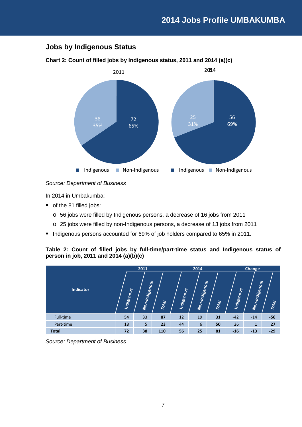## <span id="page-6-0"></span>**Jobs by Indigenous Status**

## 72 65% 38 35% Indigenous **Non-Indigenous** 2011 56 69% 25 31% **Indigenous Mon-Indigenous** 2014 2

#### **Chart 2: Count of filled jobs by Indigenous status, 2011 and 2014 (a)(c)**

#### *Source: Department of Business*

In 2014 in Umbakumba:

- of the 81 filled jobs:
	- o 56 jobs were filled by Indigenous persons, a decrease of 16 jobs from 2011
	- o 25 jobs were filled by non-Indigenous persons, a decrease of 13 jobs from 2011
- Indigenous persons accounted for 69% of job holders compared to 65% in 2011.

#### **Table 2: Count of filled jobs by full-time/part-time status and Indigenous status of person in job, 2011 and 2014 (a)(b)(c)**

|                  |            | 2011           |       |            | 2014           |       |            | Change         |       |  |
|------------------|------------|----------------|-------|------------|----------------|-------|------------|----------------|-------|--|
| <b>Indicator</b> | Indigenous | Non-Indigenous | Total | Indigenous | Non-Indigenous | Total | Indigenous | Non-Indigenous | Total |  |
| Full-time        | 54         | 33             | 87    | 12         | 19             | 31    | $-42$      | $-14$          | $-56$ |  |
| Part-time        | 18         | 5              | 23    | 44         | 6              | 50    | 26         | 1              | 27    |  |
| <b>Total</b>     | 72         | 38             | 110   | 56         | 25             | 81    | $-16$      | $-13$          | $-29$ |  |

*Source: Department of Business*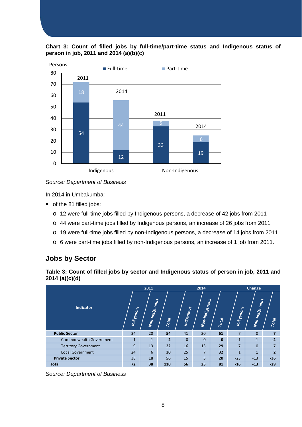



*Source: Department of Business*

In 2014 in Umbakumba:

- of the 81 filled jobs:
	- o 12 were full-time jobs filled by Indigenous persons, a decrease of 42 jobs from 2011
	- o 44 were part-time jobs filled by Indigenous persons, an increase of 26 jobs from 2011
	- o 19 were full-time jobs filled by non-Indigenous persons, a decrease of 14 jobs from 2011
	- o 6 were part-time jobs filled by non-Indigenous persons, an increase of 1 job from 2011.

## <span id="page-7-0"></span>**Jobs by Sector**

| Table 3: Count of filled jobs by sector and Indigenous status of person in job, 2011 and |  |  |  |
|------------------------------------------------------------------------------------------|--|--|--|
| 2014(a)(c)(d)                                                                            |  |  |  |

|                                |              | 2011           |                |            | 2014           |              |                | Change         |                |  |
|--------------------------------|--------------|----------------|----------------|------------|----------------|--------------|----------------|----------------|----------------|--|
| <b>Indicator</b>               | Indigenous   | Non-Indigenous | Total          | Indigenous | Non-Indigenous | Total        | Indigenous     | Non-Indigenous | Total          |  |
| <b>Public Sector</b>           | 34           | 20             | 54             | 41         | 20             | 61           | $\overline{7}$ | $\Omega$       | $\overline{7}$ |  |
| <b>Commonwealth Government</b> | $\mathbf{1}$ | $\mathbf{1}$   | $\overline{2}$ | $\Omega$   | $\Omega$       | $\mathbf{0}$ | $-1$           | $-1$           | $-2$           |  |
| <b>Territory Government</b>    | 9            | 13             | 22             | 16         | 13             | 29           | $\overline{7}$ | $\Omega$       | $\overline{7}$ |  |
| <b>Local Government</b>        | 24           | 6              | 30             | 25         | $\overline{7}$ | 32           | $\mathbf{1}$   | $\mathbf{1}$   | $\overline{2}$ |  |
| <b>Private Sector</b>          | 38           | 18             | 56             | 15         | 5              | 20           | $-23$          | $-13$          | $-36$          |  |
| <b>Total</b>                   | 72           | 38             | 110            | 56         | 25             | 81           | $-16$          | $-13$          | $-29$          |  |

*Source: Department of Business*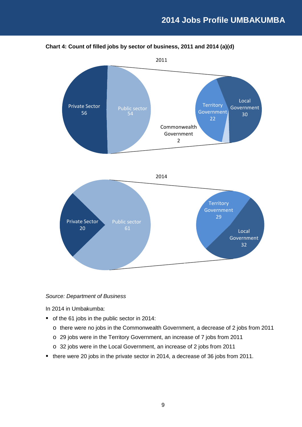

#### **Chart 4: Count of filled jobs by sector of business, 2011 and 2014 (a)(d)**

#### *Source: Department of Business*

- of the 61 jobs in the public sector in 2014:
	- o there were no jobs in the Commonwealth Government, a decrease of 2 jobs from 2011
	- o 29 jobs were in the Territory Government, an increase of 7 jobs from 2011
	- o 32 jobs were in the Local Government, an increase of 2 jobs from 2011
- there were 20 jobs in the private sector in 2014, a decrease of 36 jobs from 2011.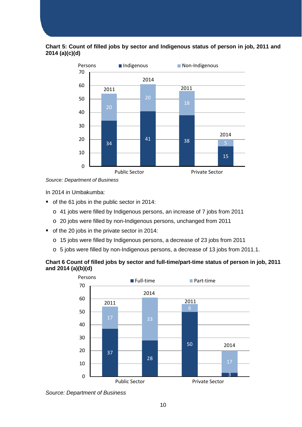#### **Chart 5: Count of filled jobs by sector and Indigenous status of person in job, 2011 and 2014 (a)(c)(d)**



*Source: Department of Business*

In 2014 in Umbakumba:

- of the 61 jobs in the public sector in 2014:
	- o 41 jobs were filled by Indigenous persons, an increase of 7 jobs from 2011
	- o 20 jobs were filled by non-Indigenous persons, unchanged from 2011
- of the 20 jobs in the private sector in 2014:
	- o 15 jobs were filled by Indigenous persons, a decrease of 23 jobs from 2011
	- o 5 jobs were filled by non-Indigenous persons, a decrease of 13 jobs from 2011.1.

#### **Chart 6 Count of filled jobs by sector and full-time/part-time status of person in job, 2011 and 2014 (a)(b)(d)**



*Source: Department of Business*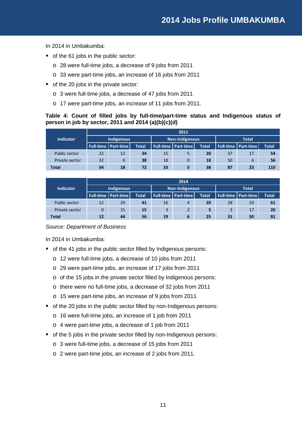In 2014 in Umbakumba:

- of the 61 jobs in the public sector:
	- o 28 were full-time jobs, a decrease of 9 jobs from 2011
	- o 33 were part-time jobs, an increase of 16 jobs from 2011
- of the 20 jobs in the private sector:
	- o 3 were full-time jobs, a decrease of 47 jobs from 2011
	- o 17 were part-time jobs, an increase of 11 jobs from 2011.

#### **Table 4: Count of filled jobs by full-time/part-time status and Indigenous status of person in job by sector, 2011 and 2014 (a)(b)(c)(d)**

|                  |            | 2011                           |              |    |                            |              |              |                                |              |  |
|------------------|------------|--------------------------------|--------------|----|----------------------------|--------------|--------------|--------------------------------|--------------|--|
| <b>Indicator</b> | Indigenous |                                |              |    | <b>Non-Indigenous</b>      |              | <b>Total</b> |                                |              |  |
|                  |            | <b>Full-time   Part-time  </b> | <b>Total</b> |    | <b>Full-time Part-time</b> | <b>Total</b> |              | <b>Full-time   Part-time  </b> | <b>Total</b> |  |
| Public sector    | 22         | 12                             | 34           | 15 | 5                          | 20           | 37           | 17                             | 54           |  |
| Private sector   | 32         | 6                              | 38           | 18 | 0                          | 18           | 50           | 6                              | 56           |  |
| <b>Total</b>     | 54         | 18                             | 72           | 33 | 5                          | 38           | 87           | 23                             | 110          |  |

|                  |                    | 2014      |              |                |                                |              |              |                              |              |  |  |
|------------------|--------------------|-----------|--------------|----------------|--------------------------------|--------------|--------------|------------------------------|--------------|--|--|
| <b>Indicator</b> | Indigenous         |           |              | Non-Indigenous |                                |              | <b>Total</b> |                              |              |  |  |
|                  | <b>Full-time</b> I | Part-time | <b>Total</b> |                | <b>Full-time   Part-time  </b> | <b>Total</b> |              | <b>Full-time   Part-time</b> | <b>Total</b> |  |  |
| Public sector    | 12                 | 29        | 41           | 16             | 4                              | 20           | 28           | 33                           | 61           |  |  |
| Private sector   | 0                  | 15        | 15           | 3              | $\overline{2}$                 | 5            | 3            | 17                           | 20           |  |  |
| Total            | 12                 | 44        | 56           | 19             | 6                              | 25           | 31           | 50                           | 81           |  |  |

#### *Source: Department of Business*

- of the 41 jobs in the public sector filled by Indigenous persons:
	- o 12 were full-time jobs, a decrease of 10 jobs from 2011
	- o 29 were part-time jobs, an increase of 17 jobs from 2011
	- o of the 15 jobs in the private sector filled by Indigenous persons:
	- o there were no full-time jobs, a decrease of 32 jobs from 2011
	- o 15 were part-time jobs, an increase of 9 jobs from 2011
- of the 20 jobs in the public sector filled by non-Indigenous persons:
	- o 16 were full-time jobs, an increase of 1 job from 2011
	- o 4 were part-time jobs, a decrease of 1 job from 2011
- of the 5 jobs in the private sector filled by non-Indigenous persons:
	- o 3 were full-time jobs, a decrease of 15 jobs from 2011
	- o 2 were part-time jobs, an increase of 2 jobs from 2011.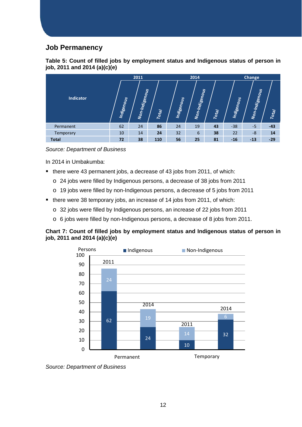## <span id="page-11-0"></span>**Job Permanency**

| Table 5: Count of filled jobs by employment status and Indigenous status of person in |  |  |  |
|---------------------------------------------------------------------------------------|--|--|--|
| job, 2011 and 2014 (a)(c)(e)                                                          |  |  |  |



*Source: Department of Business*

In 2014 in Umbakumba:

- there were 43 permanent jobs, a decrease of 43 jobs from 2011, of which:
	- o 24 jobs were filled by Indigenous persons, a decrease of 38 jobs from 2011
	- o 19 jobs were filled by non-Indigenous persons, a decrease of 5 jobs from 2011
- there were 38 temporary jobs, an increase of 14 jobs from 2011, of which:
	- o 32 jobs were filled by Indigenous persons, an increase of 22 jobs from 2011
	- o 6 jobs were filled by non-Indigenous persons, a decrease of 8 jobs from 2011.

#### **Chart 7: Count of filled jobs by employment status and Indigenous status of person in job, 2011 and 2014 (a)(c)(e)**



*Source: Department of Business*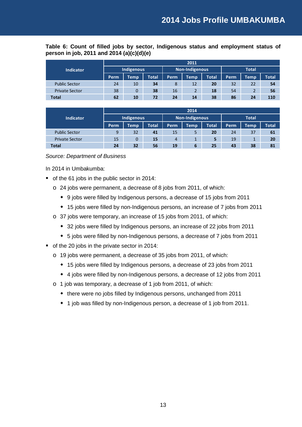**Table 6: Count of filled jobs by sector, Indigenous status and employment status of person in job, 2011 and 2014 (a)(c)(d)(e)** 

|                       | 2011       |      |              |       |                |              |              |             |       |
|-----------------------|------------|------|--------------|-------|----------------|--------------|--------------|-------------|-------|
| <b>Indicator</b>      | Indigenous |      |              |       | Non-Indigenous |              | <b>Total</b> |             |       |
|                       | Perm       | Temp | <b>Total</b> | Perm. | <b>Temp</b>    | <b>Total</b> | Perm         | <b>Temp</b> | Total |
| <b>Public Sector</b>  | 24         | 10   | 34           | 8     | 12             | 20           | 32           | 22          | 54    |
| <b>Private Sector</b> | 38         | 0    | 38           | 16    | $\overline{2}$ | 18           | 54           |             | 56    |
| <b>Total</b>          | 62         | 10   | 72           | 24    | 14             | 38           | 86           | 24          | 110   |

|                       | 2014       |             |                |                |             |              |      |                      |       |
|-----------------------|------------|-------------|----------------|----------------|-------------|--------------|------|----------------------|-------|
| <b>Indicator</b>      | Indigenous |             | Non-Indigenous |                |             | <b>Total</b> |      |                      |       |
|                       | Perm       | <b>Temp</b> | <b>Total</b>   | Perm           | <b>Temp</b> | <b>Total</b> | Perm | <b>Temp</b>          | Total |
| <b>Public Sector</b>  | 9          | 32          | 41             | 15             | 5           | 20           | 24   | 37                   | 61    |
| <b>Private Sector</b> | 15         | 0           | 15             | $\overline{4}$ |             | 5            | 19   | $\overline{ }$<br>л. | 20    |
| <b>Total</b>          | 24         | 32          | 56             | 19             | 6           | 25           | 43   | 38                   | 81    |

#### *Source: Department of Business*

- of the 61 jobs in the public sector in 2014:
	- o 24 jobs were permanent, a decrease of 8 jobs from 2011, of which:
		- 9 jobs were filled by Indigenous persons, a decrease of 15 jobs from 2011
		- 15 jobs were filled by non-Indigenous persons, an increase of 7 jobs from 2011
	- o 37 jobs were temporary, an increase of 15 jobs from 2011, of which:
		- 32 jobs were filled by Indigenous persons, an increase of 22 jobs from 2011
		- 5 jobs were filled by non-Indigenous persons, a decrease of 7 jobs from 2011
- of the 20 jobs in the private sector in 2014:
	- o 19 jobs were permanent, a decrease of 35 jobs from 2011, of which:
		- 15 jobs were filled by Indigenous persons, a decrease of 23 jobs from 2011
		- 4 jobs were filled by non-Indigenous persons, a decrease of 12 jobs from 2011
	- o 1 job was temporary, a decrease of 1 job from 2011, of which:
		- there were no jobs filled by Indigenous persons, unchanged from 2011
		- 1 job was filled by non-Indigenous person, a decrease of 1 job from 2011.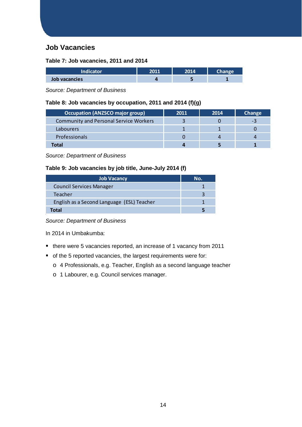## <span id="page-13-0"></span>**Job Vacancies**

#### **Table 7: Job vacancies, 2011 and 2014**

| <b>Indicator</b> | 5011 | 2014 |  |
|------------------|------|------|--|
| Job vacancies    |      |      |  |

*Source: Department of Business*

#### **Table 8: Job vacancies by occupation, 2011 and 2014 (f)(g)**

| <b>Occupation (ANZSCO major group)</b>        | 2011 | 2014 | Change |
|-----------------------------------------------|------|------|--------|
| <b>Community and Personal Service Workers</b> |      |      | - -    |
| Labourers                                     |      |      |        |
| Professionals                                 |      |      |        |
| Total                                         |      |      |        |

*Source: Department of Business*

#### **Table 9: Job vacancies by job title, June-July 2014 (f)**

| <b>Job Vacancy</b>                         | No. |
|--------------------------------------------|-----|
| <b>Council Services Manager</b>            |     |
| Teacher                                    |     |
| English as a Second Language (ESL) Teacher |     |
| Total                                      |     |

*Source: Department of Business*

- there were 5 vacancies reported, an increase of 1 vacancy from 2011
- of the 5 reported vacancies, the largest requirements were for:
	- o 4 Professionals, e.g. Teacher, English as a second language teacher
	- o 1 Labourer, e.g. Council services manager.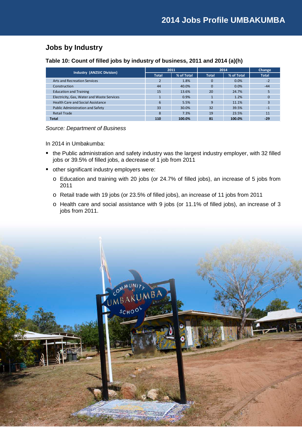## <span id="page-14-0"></span>**Jobs by Industry**

**Table 10: Count of filled jobs by industry of business, 2011 and 2014 (a)(h)**

| <b>Industry (ANZSIC Division)</b>          | 2011         |            | 2014         | Change     |              |
|--------------------------------------------|--------------|------------|--------------|------------|--------------|
|                                            | <b>Total</b> | % of Total | <b>Total</b> | % of Total | <b>Total</b> |
| Arts and Recreation Services               |              | 1.8%       | 0            | 0.0%       | $-2$         |
| Construction                               | 44           | 40.0%      | $\Omega$     | 0.0%       | $-44$        |
| <b>Education and Training</b>              | 15           | 13.6%      | 20           | 24.7%      |              |
| Electricity, Gas, Water and Waste Services |              | 0.9%       |              | 1.2%       |              |
| <b>Health Care and Social Assistance</b>   | 6            | 5.5%       | q            | 11.1%      |              |
| <b>Public Administration and Safety</b>    | 33           | 30.0%      | 32           | 39.5%      | $-1$         |
| <b>Retail Trade</b>                        | 8            | 7.3%       | 19           | 23.5%      | 11           |
| <b>Total</b>                               | 110          | 100.0%     | 81           | 100.0%     | $-29$        |

*Source: Department of Business*

- the Public administration and safety industry was the largest industry employer, with 32 filled jobs or 39.5% of filled jobs, a decrease of 1 job from 2011
- other significant industry employers were:
	- o Education and training with 20 jobs (or 24.7% of filled jobs), an increase of 5 jobs from 2011
	- o Retail trade with 19 jobs (or 23.5% of filled jobs), an increase of 11 jobs from 2011
	- o Health care and social assistance with 9 jobs (or 11.1% of filled jobs), an increase of 3 jobs from 2011.

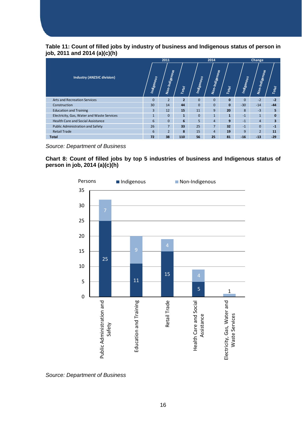#### **Table 11: Count of filled jobs by industry of business and Indigenous status of person in job, 2011 and 2014 (a)(c)(h)**

|                                            |              | 2011           |                |            | 2014<br><b>Change</b> |              |                |                |                         |
|--------------------------------------------|--------------|----------------|----------------|------------|-----------------------|--------------|----------------|----------------|-------------------------|
| <b>Industry (ANZSIC division)</b>          | Indigenous   | Non-Indigenous | Total          | Indigenous | Non-Indigenous        | Total        | Indigenous     | Non-Indigenous | Total                   |
| <b>Arts and Recreation Services</b>        | $\mathbf{0}$ | $\overline{2}$ | $\overline{2}$ | $\Omega$   | $\mathbf{0}$          | $\mathbf{0}$ | $\overline{0}$ | $-2$           | $-2$                    |
| Construction                               | 30           | 14             | 44             | $\Omega$   | $\Omega$              | $\Omega$     | $-30$          | $-14$          | $-44$                   |
| <b>Education and Training</b>              | 3            | 12             | 15             | 11         | 9                     | 20           | 8              | $-3$           | 5                       |
| Electricity, Gas, Water and Waste Services | $\mathbf{1}$ | $\Omega$       | $\mathbf{1}$   | $\Omega$   | $\mathbf{1}$          | $\mathbf{1}$ | $-1$           | $\mathbf{1}$   | $\mathbf{0}$            |
| <b>Health Care and Social Assistance</b>   | 6            | $\Omega$       | 6              | 5          | $\overline{4}$        | 9            | $-1$           | $\overline{4}$ | $\overline{\mathbf{3}}$ |
| Public Administration and Safety           | 26           | $\overline{7}$ | 33             | 25         | $\overline{7}$        | 32           | $-1$           | $\Omega$       | $-1$                    |
| <b>Retail Trade</b>                        | 6            | $\overline{2}$ | 8              | 15         | $\overline{4}$        | 19           | 9              | $\overline{2}$ | 11                      |
| <b>Total</b>                               | 72           | 38             | 110            | 56         | 25                    | 81           | $-16$          | $-13$          | $-29$                   |

*Source: Department of Business*

**Chart 8: Count of filled jobs by top 5 industries of business and Indigenous status of person in job, 2014 (a)(c)(h)**



*Source: Department of Business*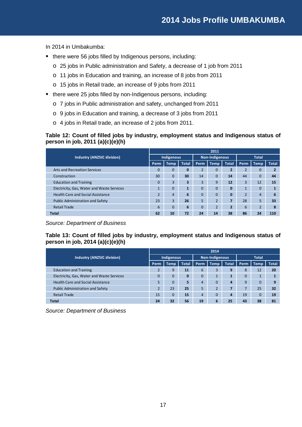In 2014 in Umbakumba:

- there were 56 jobs filled by Indigenous persons, including:
	- o 25 jobs in Public administration and Safety, a decrease of 1 job from 2011
	- o 11 jobs in Education and training, an increase of 8 jobs from 2011
	- o 15 jobs in Retail trade, an increase of 9 jobs from 2011
- there were 25 jobs filled by non-Indigenous persons, including:
	- o 7 jobs in Public administration and safety, unchanged from 2011
	- o 9 jobs in Education and training, a decrease of 3 jobs from 2011
	- o 4 jobs in Retail trade, an increase of 2 jobs from 2011.

#### **Table 12: Count of filled jobs by industry, employment status and Indigenous status of person in job, 2011 (a)(c)(e)(h)**

|                                            | 2011           |                |              |                |                |                          |                |                |              |  |  |
|--------------------------------------------|----------------|----------------|--------------|----------------|----------------|--------------------------|----------------|----------------|--------------|--|--|
| <b>Industry (ANZSIC division)</b>          | Indigenous     |                |              |                | Non-Indigenous |                          | <b>Total</b>   |                |              |  |  |
|                                            | Perm           | <b>Temp</b>    | <b>Total</b> | Perm           | Temp           | <b>Total</b>             | Perm           | <b>Temp</b>    | <b>Total</b> |  |  |
| Arts and Recreation Services               |                | $\overline{0}$ | 0            | $\overline{2}$ | 0              | $\overline{2}$           | $\overline{2}$ | $\overline{0}$ |              |  |  |
| Construction                               | 30             | $\overline{0}$ | 30           | 14             | $\Omega$       | 14                       | 44             | $\Omega$       | 44           |  |  |
| <b>Education and Training</b>              | 0              | 3              | 3            | 3              | 9              | 12                       | 3              | 12             | 15           |  |  |
| Electricity, Gas, Water and Waste Services |                | $\Omega$       | -1           | $\Omega$       | $\Omega$       | 0                        | $\mathbf{1}$   | $\Omega$       |              |  |  |
| <b>Health Care and Social Assistance</b>   | $\overline{2}$ | $\overline{4}$ | 6            | $\Omega$       | 0              |                          | $\overline{2}$ | $\overline{4}$ | 6            |  |  |
| <b>Public Administration and Safety</b>    | 23             | 3              | 26           | 5              | $\overline{2}$ |                          | 28             | 5              | 33           |  |  |
| <b>Retail Trade</b>                        | 6              | $\overline{0}$ | 6            | $\Omega$       | $\overline{2}$ | $\overline{\phantom{a}}$ | 6              | $\overline{2}$ | 8            |  |  |
| <b>Total</b>                               | 62             | 10             | 72           | 24             | 14             | 38                       | 86             | 24             | 110          |  |  |

*Source: Department of Business*

**Table 13: Count of filled jobs by industry, employment status and Indigenous status of person in job, 2014 (a)(c)(e)(h)**

|                                            | 2014           |             |              |                |                       |                |              |                |              |  |  |
|--------------------------------------------|----------------|-------------|--------------|----------------|-----------------------|----------------|--------------|----------------|--------------|--|--|
| <b>Industry (ANZSIC division)</b>          | Indigenous     |             |              |                | <b>Non-Indigenous</b> |                | <b>Total</b> |                |              |  |  |
|                                            | Perm           | <b>Temp</b> | <b>Total</b> | Perm           | <b>Temp</b>           | <b>Total</b>   | <b>Perm</b>  | <b>Temp</b>    | <b>Total</b> |  |  |
| <b>Education and Training</b>              |                | 9           | 11           | 6              | 3                     | 9              | 8            | 12             | 20           |  |  |
| Electricity, Gas, Water and Waste Services | $\overline{0}$ | 0           | $\bf{0}$     | $\mathbf 0$    | 1                     |                | $\mathbf 0$  | 1              |              |  |  |
| <b>Health Care and Social Assistance</b>   |                | 0           | 5            | 4              | $\overline{0}$        | 4              | 9            | $\overline{0}$ | 9            |  |  |
| <b>Public Administration and Safety</b>    |                | 23          | 25           | 5              | $\overline{2}$        |                |              | 25             | 32           |  |  |
| <b>Retail Trade</b>                        | 15             | 0           | 15           | $\overline{4}$ | $\mathbf 0$           | $\overline{a}$ | 19           | $\mathbf 0$    | 19           |  |  |
| <b>Total</b>                               | 24             | 32          | 56           | 19             | 6                     | 25             | 43           | 38             | 81           |  |  |

*Source: Department of Business*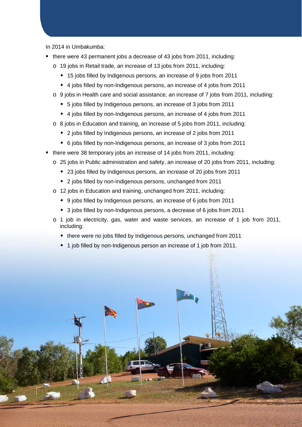- there were 43 permanent jobs a decrease of 43 jobs from 2011, including:
	- o 19 jobs in Retail trade, an increase of 13 jobs from 2011, including:
		- 15 jobs filled by Indigenous persons, an increase of 9 jobs from 2011
		- 4 jobs filled by non-Indigenous persons, an increase of 4 jobs from 2011
	- o 9 jobs in Health care and social assistance, an increase of 7 jobs from 2011, including:
		- 5 jobs filled by Indigenous persons, an increase of 3 jobs from 2011
		- 4 jobs filled by non-Indigenous persons, an increase of 4 jobs from 2011
	- o 8 jobs in Education and training, an increase of 5 jobs from 2011, including:
		- 2 jobs filled by Indigenous persons, an increase of 2 jobs from 2011
		- 6 jobs filled by non-Indigenous persons, an increase of 3 jobs from 2011
- there were 38 temporary jobs an increase of 14 jobs from 2011, including:
	- o 25 jobs in Public administration and safety, an increase of 20 jobs from 2011, including:
		- 23 jobs filled by Indigenous persons, an increase of 20 jobs from 2011
		- 2 jobs filled by non-Indigenous persons, unchanged from 2011
	- o 12 jobs in Education and training, unchanged from 2011, including:
		- 9 jobs filled by Indigenous persons, an increase of 6 jobs from 2011
		- 3 jobs filled by non-Indigenous persons, a decrease of 6 jobs from 2011
	- o 1 job in electricity, gas, water and waste services, an increase of 1 job from 2011, including:
		- there were no jobs filled by Indigenous persons, unchanged from 2011
		- 1 job filled by non-Indigenous person an increase of 1 job from 2011.

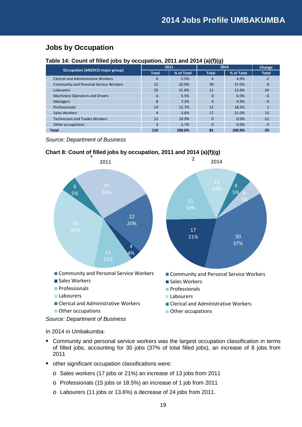## <span id="page-18-0"></span>**Jobs by Occupation**

#### **Table 14: Count of filled jobs by occupation, 2011 and 2014 (a)(f)(g)**

| <b>Occupation (ANZSCO major group)</b>        | 2011           |            | 2014           | Change     |              |
|-----------------------------------------------|----------------|------------|----------------|------------|--------------|
|                                               | <b>Total</b>   | % of Total | <b>Total</b>   | % of Total | <b>Total</b> |
| <b>Clerical and Administrative Workers</b>    | 6              | 5.5%       | $\overline{a}$ | 4.9%       | $-2$         |
| <b>Community and Personal Service Workers</b> | 22             | 20.0%      | 30             | 37.0%      | 8            |
| Labourers                                     | 35             | 31.8%      | 11             | 13.6%      | $-24$        |
| <b>Machinery Operators and Drivers</b>        | 6              | 5.5%       | $\Omega$       | 0.0%       | $-6$         |
| <b>Managers</b>                               | 8              | 7.3%       | $\overline{4}$ | 4.9%       | $-4$         |
| Professionals                                 | 14             | 12.7%      | 15             | 18.5%      |              |
| Sales Workers                                 | $\overline{4}$ | 3.6%       | 17             | 21.0%      | 13           |
| <b>Technicians and Trades Workers</b>         | 12             | 10.9%      | $\Omega$       | 0.0%       | $-12$        |
| Other occupations                             | 3              | 2.7%       | $\Omega$       | 0.0%       | $-3$         |
| <b>Total</b>                                  | 110            | 100.0%     | 81             | 100.0%     | $-29$        |

*Source: Department of Business*

## **Chart 8: Count of filled jobs by occupation, 2011 and 2014 (a)(f)(g)** 2



- Community and personal service workers was the largest occupation classification in terms of filled jobs, accounting for 30 jobs (37% of total filled jobs), an increase of 8 jobs from 2011
- other significant occupation classifications were:
	- o Sales workers (17 jobs or 21%) an increase of 13 jobs from 2011
	- o Professionals (15 jobs or 18.5%) an increase of 1 job from 2011
	- o Labourers (11 jobs or 13.6%) a decrease of 24 jobs from 2011.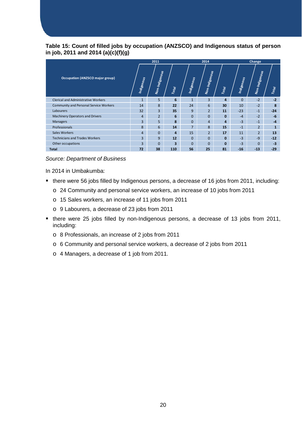#### **Table 15: Count of filled jobs by occupation (ANZSCO) and Indigenous status of person in job, 2011 and 2014 (a)(c)(f)(g)**

|                                               |                   | 2011           |                |                | 2014           |              | Change            |                |              |  |
|-----------------------------------------------|-------------------|----------------|----------------|----------------|----------------|--------------|-------------------|----------------|--------------|--|
| <b>Occupation (ANZSCO major group)</b>        | <b>Indigenous</b> | Non-Indigenous | Total          | Indigenous     | Non-Indigenous | Total        | <b>Indigenous</b> | Non-Indigenous | Total        |  |
| <b>Clerical and Administrative Workers</b>    | $\mathbf{1}$      | 5              | 6              | $\mathbf{1}$   | $\overline{3}$ | 4            | $\Omega$          | $-2$           | $-2$         |  |
| <b>Community and Personal Service Workers</b> | 14                | 8              | 22             | 24             | 6              | 30           | 10                | $-2$           | 8            |  |
| Labourers                                     | 32                | $\overline{3}$ | 35             | 9              | $\overline{2}$ | 11           | $-23$             | $-1$           | $-24$        |  |
| Machinery Operators and Drivers               | $\overline{4}$    | 2 <sup>1</sup> | 6              | $\Omega$       | $\mathbf{0}$   | $\mathbf{0}$ | $-4$              | $-2$           | $-6$         |  |
| <b>Managers</b>                               | $\overline{3}$    | 5              | 8              | $\Omega$       | $\overline{4}$ | 4            | $-3$              | $-1$           | $-4$         |  |
| Professionals                                 | 8                 | 6              | 14             | $\overline{7}$ | 8              | 15           | $-1$              | $\overline{2}$ | $\mathbf{1}$ |  |
| Sales Workers                                 | $\overline{4}$    | $\overline{0}$ | $\overline{a}$ | 15             | $\overline{2}$ | 17           | 11                | $\overline{2}$ | 13           |  |
| <b>Technicians and Trades Workers</b>         | $\overline{3}$    | 9              | 12             | $\Omega$       | $\mathbf{0}$   | $\mathbf{0}$ | $-3$              | $-9$           | $-12$        |  |
| Other occupations                             | $\overline{3}$    | $\Omega$       | 3              | $\Omega$       | $\Omega$       | $\bf{0}$     | $-3$              | $\Omega$       | $-3$         |  |
| <b>Total</b>                                  | 72                | 38             | 110            | 56             | 25             | 81           | $-16$             | $-13$          | $-29$        |  |

#### *Source: Department of Business*

- there were 56 jobs filled by Indigenous persons, a decrease of 16 jobs from 2011, including:
	- o 24 Community and personal service workers, an increase of 10 jobs from 2011
	- o 15 Sales workers, an increase of 11 jobs from 2011
	- o 9 Labourers, a decrease of 23 jobs from 2011
- there were 25 jobs filled by non-Indigenous persons, a decrease of 13 jobs from 2011, including:
	- o 8 Professionals, an increase of 2 jobs from 2011
	- o 6 Community and personal service workers, a decrease of 2 jobs from 2011
	- o 4 Managers, a decrease of 1 job from 2011.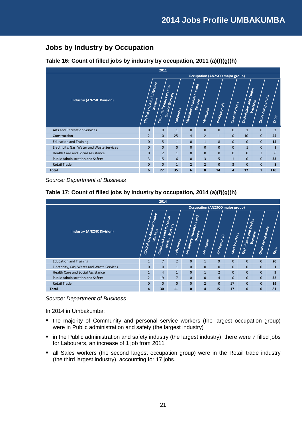## <span id="page-20-0"></span>**Jobs by Industry by Occupation**

#### **Table 16: Count of filled jobs by industry by occupation, 2011 (a)(f)(g)(h)**

|                                            |                             | 2011                              |                      |                                |                            |               |                                        |                        |                              |                |
|--------------------------------------------|-----------------------------|-----------------------------------|----------------------|--------------------------------|----------------------------|---------------|----------------------------------------|------------------------|------------------------------|----------------|
|                                            |                             |                                   |                      |                                |                            |               | <b>Occupation (ANZSCO major group)</b> |                        |                              |                |
| <b>Industry (ANZSIC Division)</b>          | Clerical and Administrative | Community and Personal<br>Workers | Workers<br>Labourers | <b>Machinery Operators and</b> | Drivers<br><b>Managers</b> | Professionals | <b>Sales Workers</b>                   | Technicians and Trades | Other occupations<br>Workers | Total          |
| <b>Arts and Recreation Services</b>        | $\mathbf{0}$                | $\mathbf{0}$                      | $\mathbf{1}$         | $\mathbf{0}$                   | $\mathbf{0}$               | $\mathbf{0}$  | $\mathbf{0}$                           | $\mathbf{1}$           | $\mathbf{0}$                 | $\overline{2}$ |
| Construction                               | $\overline{2}$              | $\mathbf{0}$                      | 25                   | $\overline{4}$                 | $\overline{2}$             | $\mathbf{1}$  | $\mathbf{0}$                           | 10                     | $\mathbf{0}$                 | 44             |
| <b>Education and Training</b>              | $\Omega$                    | 5                                 | $\mathbf{1}$         | $\mathbf{0}$                   | $\mathbf{1}$               | 8             | $\mathbf{0}$                           | $\mathbf{0}$           | $\Omega$                     | 15             |
| Electricity, Gas, Water and Waste Services | $\Omega$                    | $\Omega$                          | $\mathbf{0}$         | $\mathbf{0}$                   | $\Omega$                   | $\Omega$      | $\overline{0}$                         | $\mathbf{1}$           | $\Omega$                     | $\mathbf{1}$   |
| <b>Health Care and Social Assistance</b>   | $\Omega$                    | $\overline{2}$                    | $\mathbf{1}$         | $\mathbf{0}$                   | $\Omega$                   | $\Omega$      | $\overline{0}$                         | $\mathbf{0}$           | 3                            | 6              |
| Public Administration and Safety           | 3                           | 15                                | 6                    | $\mathbf{0}$                   | $\overline{3}$             | 5             | $\mathbf{1}$                           | $\mathbf{0}$           | $\Omega$                     | 33             |
| <b>Retail Trade</b>                        | $\Omega$                    | $\Omega$                          | $\mathbf{1}$         | $\overline{2}$                 | $\overline{2}$             | $\Omega$      | 3                                      | $\mathbf{0}$           | $\Omega$                     | 8              |
| <b>Total</b>                               | 6                           | 22                                | 35                   | 6                              | 8                          | 14            | $\overline{a}$                         | 12                     | 3                            | 110            |

*Source: Department of Business*

|                                            |                                        | 2014                   |                      |                         |                                        |                |               |                           |                              |              |
|--------------------------------------------|----------------------------------------|------------------------|----------------------|-------------------------|----------------------------------------|----------------|---------------|---------------------------|------------------------------|--------------|
|                                            |                                        |                        |                      |                         | <b>Occupation (ANZSCO major group)</b> |                |               |                           |                              |              |
| <b>Industry (ANZSIC Division)</b>          | Clerical and Administrative<br>Workers | Community and Personal | Workers<br>Labourers | Machinery Operators and | Drivers<br><b>Managers</b>             | Professionals  | Sales Workers | Trades<br>Technicians and | Other occupations<br>Workers | Total        |
| <b>Education and Training</b>              | $\mathbf{1}$                           | $\overline{7}$         | $\overline{2}$       | $\mathbf{0}$            | $\mathbf{1}$                           | 9              | $\Omega$      | $\mathbf{0}$              | $\Omega$                     | 20           |
| Electricity, Gas, Water and Waste Services | $\Omega$                               | $\Omega$               | $\mathbf{1}$         | $\mathbf{0}$            | $\Omega$                               | $\Omega$       | $\mathbf{0}$  | $\mathbf{0}$              | $\Omega$                     | $\mathbf{1}$ |
| <b>Health Care and Social Assistance</b>   | $\mathbf{1}$                           | $\overline{4}$         | $\mathbf{1}$         | $\mathbf{0}$            | $\mathbf{1}$                           | $\overline{2}$ | $\mathbf{0}$  | $\mathbf{0}$              | $\mathbf{0}$                 | 9            |
| Public Administration and Safety           | $\overline{2}$                         | 19                     | $\overline{7}$       | $\mathbf{0}$            | $\mathbf{0}$                           | $\overline{4}$ | $\mathbf{0}$  | $\mathbf{0}$              | $\mathbf{0}$                 | 32           |
| <b>Retail Trade</b>                        | $\Omega$                               | $\Omega$               | $\Omega$             | $\mathbf{0}$            | $\overline{2}$                         | $\mathbf{0}$   | 17            | 0                         | $\mathbf{0}$                 | 19           |
| <b>Total</b>                               | 4                                      | 30                     | 11                   | $\mathbf{0}$            | $\overline{4}$                         | 15             | 17            | $\mathbf{0}$              | $\mathbf{0}$                 | 81           |

#### **Table 17: Count of filled jobs by industry by occupation, 2014 (a)(f)(g)(h)**

*Source: Department of Business*

- the majority of Community and personal service workers (the largest occupation group) were in Public administration and safety (the largest industry)
- in the Public administration and safety industry (the largest industry), there were 7 filled jobs for Labourers, an increase of 1 job from 2011
- all Sales workers (the second largest occupation group) were in the Retail trade industry (the third largest industry), accounting for 17 jobs.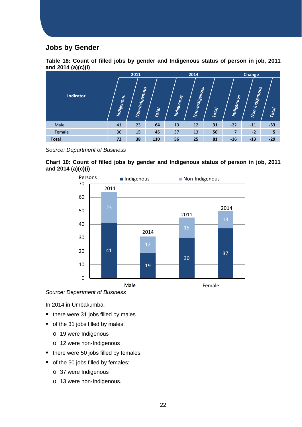## <span id="page-21-0"></span>**Jobs by Gender**



| , <i>,</i> , <i>,</i> , <i>,</i> |            | 2011           |       |                   | 2014           |       |                   | <b>Change</b>  |       |  |  |
|----------------------------------|------------|----------------|-------|-------------------|----------------|-------|-------------------|----------------|-------|--|--|
| <b>Indicator</b>                 | Indigenous | Non-Indigenous | Total | <b>Indigenous</b> | Non-Indigenous | Total | <b>Indigenous</b> | Non-Indigenous | Total |  |  |
| Male                             | 41         | 23             | 64    | 19                | 12             | 31    | $-22$             | $-11$          | $-33$ |  |  |
| Female                           | 30         | 15             | 45    | 37                | 13             | 50    | 7                 | $-2$           | 5     |  |  |
| <b>Total</b>                     | 72         | 38             | 110   | 56                | 25             | 81    | $-16$             | $-13$          | $-29$ |  |  |

*Source: Department of Business*





*Source: Department of Business*

- $\blacksquare$  there were 31 jobs filled by males
- of the 31 jobs filled by males:
	- o 19 were Indigenous
	- o 12 were non-Indigenous
- $\blacksquare$  there were 50 jobs filled by females
- of the 50 jobs filled by females:
	- o 37 were Indigenous
	- o 13 were non-Indigenous.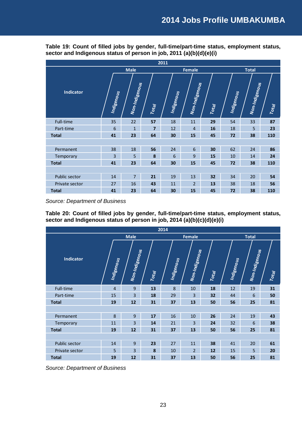|                  |            |                |                | 2011       |                 |       |                   |                |       |
|------------------|------------|----------------|----------------|------------|-----------------|-------|-------------------|----------------|-------|
|                  |            | <b>Male</b>    |                |            | Female          |       |                   | <b>Total</b>   |       |
| <b>Indicator</b> | Indigenous | Non-Indigenous | Total          | Indigenous | Non-Indigenous  | Total | <b>Indigenous</b> | Non-Indigenous | Total |
| Full-time        | 35         | 22             | 57             | 18         | 11              | 29    | 54                | 33             | 87    |
| Part-time        | 6          | $\mathbf{1}$   | $\overline{7}$ | 12         | $\overline{4}$  | 16    | 18                | 5              | 23    |
| <b>Total</b>     | 41         | 23             | 64             | 30         | 15              | 45    | 72                | 38             | 110   |
|                  |            |                |                |            |                 |       |                   |                |       |
| Permanent        | 38         | 18             | 56             | 24         | $6\phantom{1}6$ | 30    | 62                | 24             | 86    |
| Temporary        | 3          | 5              | 8              | 6          | 9               | 15    | 10                | 14             | 24    |
| <b>Total</b>     | 41         | 23             | 64             | 30         | 15              | 45    | 72                | 38             | 110   |
|                  |            |                |                |            |                 |       |                   |                |       |
| Public sector    | 14         | $\overline{7}$ | 21             | 19         | 13              | 32    | 34                | 20             | 54    |
| Private sector   | 27         | 16             | 43             | 11         | $\overline{2}$  | 13    | 38                | 18             | 56    |
| <b>Total</b>     | 41         | 23             | 64             | 30         | 15              | 45    | 72                | 38             | 110   |

**Table 19: Count of filled jobs by gender, full-time/part-time status, employment status, sector and Indigenous status of person in job, 2011 (a)(b)(d)(e)(i)**

*Source: Department of Business*

**Table 20: Count of filled jobs by gender, full-time/part-time status, employment status, sector and Indigenous status of person in job, 2014 (a)(b)(c)(d)(e)(i)**

|                |                |                |       | 2014       |                |       |            |                |       |
|----------------|----------------|----------------|-------|------------|----------------|-------|------------|----------------|-------|
|                |                | <b>Male</b>    |       |            | <b>Female</b>  |       |            | <b>Total</b>   |       |
| Indicator      | Indigenous     | Non-Indigenous | Total | Indigenous | Non-Indigenous | Total | Indigenous | Non-Indigenous | Total |
| Full-time      | $\overline{4}$ | $\overline{9}$ | 13    | 8          | 10             | 18    | 12         | 19             | 31    |
| Part-time      | 15             | 3              | 18    | 29         | 3              | 32    | 44         | 6              | 50    |
| <b>Total</b>   | 19             | 12             | 31    | 37         | 13             | 50    | 56         | 25             | 81    |
|                |                |                |       |            |                |       |            |                |       |
| Permanent      | 8              | 9              | 17    | 16         | 10             | 26    | 24         | 19             | 43    |
| Temporary      | 11             | 3              | 14    | 21         | 3              | 24    | 32         | 6              | 38    |
| <b>Total</b>   | 19             | 12             | 31    | 37         | 13             | 50    | 56         | 25             | 81    |
|                |                |                |       |            |                |       |            |                |       |
| Public sector  | 14             | 9              | 23    | 27         | 11             | 38    | 41         | 20             | 61    |
| Private sector | 5              | 3              | 8     | 10         | $\overline{2}$ | 12    | 15         | 5              | 20    |
| <b>Total</b>   | 19             | 12             | 31    | 37         | 13             | 50    | 56         | 25             | 81    |

*Source: Department of Business*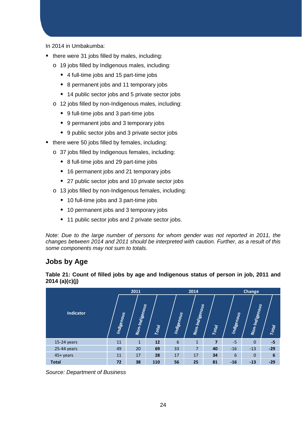In 2014 in Umbakumba:

- there were 31 jobs filled by males, including:
	- o 19 jobs filled by Indigenous males, including:
		- 4 full-time jobs and 15 part-time jobs
		- 8 permanent jobs and 11 temporary jobs
		- ◆ 14 public sector jobs and 5 private sector jobs
	- o 12 jobs filled by non-Indigenous males, including:
		- 9 full-time jobs and 3 part-time jobs
		- 9 permanent jobs and 3 temporary jobs
		- 9 public sector jobs and 3 private sector jobs
- there were 50 jobs filled by females, including:
	- o 37 jobs filled by Indigenous females, including:
		- 8 full-time jobs and 29 part-time jobs
		- 16 permanent jobs and 21 temporary jobs
		- 27 public sector jobs and 10 private sector jobs
	- o 13 jobs filled by non-Indigenous females, including:
		- 10 full-time jobs and 3 part-time jobs
		- 10 permanent jobs and 3 temporary jobs
		- ◆ 11 public sector jobs and 2 private sector jobs.

*Note: Due to the large number of persons for whom gender was not reported in 2011, the changes between 2014 and 2011 should be interpreted with caution. Further, as a result of this some components may not sum to totals.*

### <span id="page-23-0"></span>**Jobs by Age**

|                  |            | 2011           |       |                   | 2014           |                | Change     |                |                 |  |
|------------------|------------|----------------|-------|-------------------|----------------|----------------|------------|----------------|-----------------|--|
| <b>Indicator</b> | Indigenous | Non-Indigenous | Total | <b>Indigenous</b> | Non-Indigenous | Total          | Indigenous | Non-Indigenous | Total           |  |
| $15-24$ years    | 11         | $\mathbf{1}$   | 12    | 6                 | $\mathbf{1}$   | $\overline{7}$ | $-5$       | $\mathbf{0}$   | $-5$            |  |
| 25-44 years      | 49         | 20             | 69    | 33                | $\overline{7}$ | 40             | $-16$      | $-13$          | $-29$           |  |
| 45+ years        | 11         | 17             | 28    | 17                | 17             | 34             | 6          | $\mathbf{0}$   | $6\phantom{1}6$ |  |
| <b>Total</b>     | 72         | 38             | 110   | 56                | 25             | 81             | $-16$      | $-13$          | $-29$           |  |

**Table 21: Count of filled jobs by age and Indigenous status of person in job, 2011 and 2014 (a)(c)(j)**

*Source: Department of Business*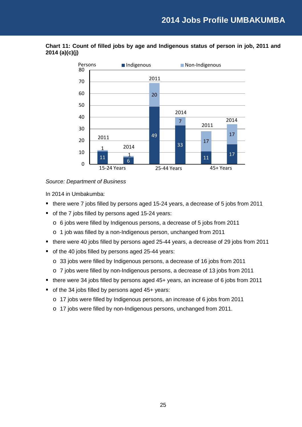

**Chart 11: Count of filled jobs by age and Indigenous status of person in job, 2011 and 2014 (a)(c)(j)**

#### *Source: Department of Business*

- there were 7 jobs filled by persons aged 15-24 years, a decrease of 5 jobs from 2011
- of the 7 jobs filled by persons aged 15-24 years:
	- o 6 jobs were filled by Indigenous persons, a decrease of 5 jobs from 2011
	- o 1 job was filled by a non-Indigenous person, unchanged from 2011
- there were 40 jobs filled by persons aged 25-44 years, a decrease of 29 jobs from 2011
- of the 40 jobs filled by persons aged 25-44 years:
	- o 33 jobs were filled by Indigenous persons, a decrease of 16 jobs from 2011
	- o 7 jobs were filled by non-Indigenous persons, a decrease of 13 jobs from 2011
- there were 34 jobs filled by persons aged 45+ years, an increase of 6 jobs from 2011
- of the 34 jobs filled by persons aged 45+ years:
	- o 17 jobs were filled by Indigenous persons, an increase of 6 jobs from 2011
	- o 17 jobs were filled by non-Indigenous persons, unchanged from 2011.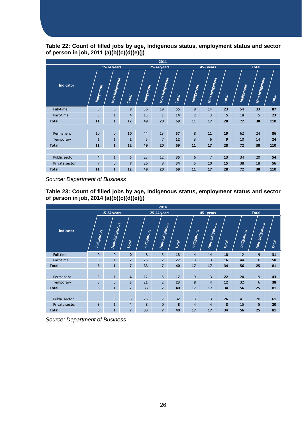**Table 22: Count of filled jobs by age, Indigenous status, employment status and sector of person in job, 2011 (a)(b)(c)(d)(e)(j)**

|                  | 2011           |                |                |                   |                |       |                |                |       |            |                |       |  |
|------------------|----------------|----------------|----------------|-------------------|----------------|-------|----------------|----------------|-------|------------|----------------|-------|--|
|                  |                | 15-24 years    |                |                   | 25-44 years    |       |                | 45+ years      |       |            | <b>Total</b>   |       |  |
| <b>Indicator</b> | Indigenous     | Non-Indigenous | Total          | <b>Indigenous</b> | Non-Indigenous | Total | Indigenous     | Non-Indigenous | Total | Indigenous | Non-Indigenous | Total |  |
| Full-time        | 8              | $\mathbf{0}$   | 8              | 36                | 19             | 55    | 9              | 14             | 23    | 54         | 33             | 87    |  |
| Part-time        | $\overline{3}$ | $\mathbf{1}$   | $\overline{a}$ | 13                | $\mathbf{1}$   | 14    | $\overline{2}$ | $\overline{3}$ | 5     | 18         | 5              | 23    |  |
| <b>Total</b>     | 11             | $\mathbf{1}$   | 12             | 49                | 20             | 69    | 11             | 17             | 28    | 72         | 38             | 110   |  |
|                  |                |                |                |                   |                |       |                |                |       |            |                |       |  |
| Permanent        | 10             | $\overline{0}$ | 10             | 44                | 13             | 57    | 8              | 11             | 19    | 62         | 24             | 86    |  |
| Temporary        | $\mathbf{1}$   | $\mathbf{1}$   | $\overline{2}$ | 5                 | $\overline{7}$ | 12    | $\overline{3}$ | 6              | 9     | 10         | 14             | 24    |  |
| <b>Total</b>     | 11             | $\mathbf{1}$   | 12             | 49                | 20             | 69    | 11             | 17             | 28    | 72         | 38             | 110   |  |
|                  |                |                |                |                   |                |       |                |                |       |            |                |       |  |
| Public sector    | $\overline{4}$ | $\overline{1}$ | 5 <sup>5</sup> | 23                | 12             | 35    | 6              | $\overline{7}$ | 13    | 34         | 20             | 54    |  |
| Private sector   | $\overline{7}$ | $\overline{0}$ | $\overline{7}$ | 26                | 8              | 34    | 5              | 10             | 15    | 38         | 18             | 56    |  |
| <b>Total</b>     | 11             | 1              | 12             | 49                | 20             | 69    | 11             | 17             | 28    | 72         | 38             | 110   |  |

*Source: Department of Business*

**Table 23: Count of filled jobs by age, Indigenous status, employment status and sector of person in job, 2014 (a)(b)(c)(d)(e)(j)**

| 2014           |                    |                |                         |            |                |       |                |                |       |            |                |       |  |
|----------------|--------------------|----------------|-------------------------|------------|----------------|-------|----------------|----------------|-------|------------|----------------|-------|--|
|                | <b>15-24 years</b> |                |                         |            | 25-44 years    |       |                | 45+ years      |       |            | <b>Total</b>   |       |  |
| Indicator      | Indigenous         | Non-Indigenous | <b>Total</b>            | Indigenous | Non-Indigenous | Total | Indigenous     | Non-Indigenous | Total | Indigenous | Non-Indigenous | Total |  |
| Full-time      | $\mathbf{0}$       | $\mathbf{0}$   | $\mathbf{0}$            | 8          | 5              | 13    | $\overline{4}$ | 14             | 18    | 12         | 19             | 31    |  |
| Part-time      | 6                  | $\mathbf{1}$   | $\overline{7}$          | 25         | $\overline{2}$ | 27    | 13             | $\overline{3}$ | 16    | 44         | 6              | 50    |  |
| <b>Total</b>   | $6\phantom{1}6$    | $\mathbf{1}$   | $\overline{7}$          | 33         | $\overline{7}$ | 40    | 17             | 17             | 34    | 56         | 25             | 81    |  |
|                |                    |                |                         |            |                |       |                |                |       |            |                |       |  |
| Permanent      | $\overline{3}$     | $\mathbf{1}$   | 4                       | 12         | 5              | 17    | 9              | 13             | 22    | 24         | 19             | 43    |  |
| Temporary      | $\overline{3}$     | $\mathbf{0}$   | $\overline{\mathbf{3}}$ | 21         | $\overline{2}$ | 23    | 8              | $\overline{4}$ | 12    | 32         | 6              | 38    |  |
| <b>Total</b>   | 6                  | $\mathbf{1}$   | $\overline{7}$          | 33         | $\overline{7}$ | 40    | 17             | 17             | 34    | 56         | 25             | 81    |  |
|                |                    |                |                         |            |                |       |                |                |       |            |                |       |  |
| Public sector  | $\overline{3}$     | $\mathbf{0}$   | 3                       | 25         | $\overline{7}$ | 32    | 13             | 13             | 26    | 41         | 20             | 61    |  |
| Private sector | 3                  | $\mathbf{1}$   | 4                       | 8          | $\mathbf{0}$   | 8     | $\overline{4}$ | $\overline{4}$ | 8     | 15         | 5              | 20    |  |
| <b>Total</b>   | 6                  | $\mathbf{1}$   | $\overline{7}$          | 33         | $\overline{7}$ | 40    | 17             | 17             | 34    | 56         | 25             | 81    |  |

*Source: Department of Business*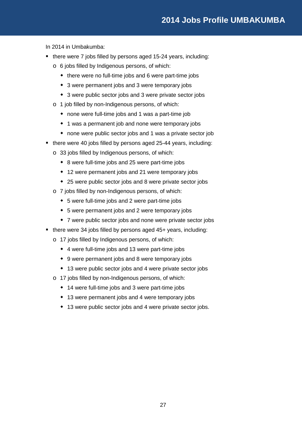## **2014 Jobs Profile UMBAKUMBA**

- there were 7 jobs filled by persons aged 15-24 years, including:
	- o 6 jobs filled by Indigenous persons, of which:
		- there were no full-time jobs and 6 were part-time jobs
		- 3 were permanent jobs and 3 were temporary jobs
		- 3 were public sector jobs and 3 were private sector jobs
	- o 1 job filled by non-Indigenous persons, of which:
		- none were full-time jobs and 1 was a part-time job
		- 1 was a permanent job and none were temporary jobs
		- none were public sector jobs and 1 was a private sector job
- there were 40 jobs filled by persons aged 25-44 years, including:
	- o 33 jobs filled by Indigenous persons, of which:
		- 8 were full-time jobs and 25 were part-time jobs
		- 12 were permanent jobs and 21 were temporary jobs
		- 25 were public sector jobs and 8 were private sector jobs
	- o 7 jobs filled by non-Indigenous persons, of which:
		- 5 were full-time jobs and 2 were part-time jobs
		- 5 were permanent jobs and 2 were temporary jobs
		- 7 were public sector jobs and none were private sector jobs
- there were 34 jobs filled by persons aged 45+ years, including:
	- o 17 jobs filled by Indigenous persons, of which:
		- 4 were full-time jobs and 13 were part-time jobs
		- 9 were permanent jobs and 8 were temporary jobs
		- 13 were public sector jobs and 4 were private sector jobs
	- o 17 jobs filled by non-Indigenous persons, of which:
		- 14 were full-time jobs and 3 were part-time jobs
		- 13 were permanent jobs and 4 were temporary jobs
		- 13 were public sector jobs and 4 were private sector jobs.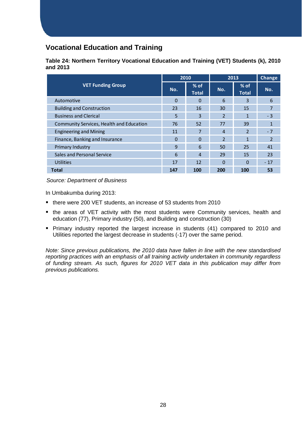## <span id="page-27-0"></span>**Vocational Education and Training**

|          | Table 24: Northern Territory Vocational Education and Training (VET) Students (k), 2010 |  |  |
|----------|-----------------------------------------------------------------------------------------|--|--|
| and 2013 |                                                                                         |  |  |

|                                          | 2010     |                        | 2013           | <b>Change</b>          |                |
|------------------------------------------|----------|------------------------|----------------|------------------------|----------------|
| <b>VET Funding Group</b>                 | No.      | $%$ of<br><b>Total</b> | No.            | $%$ of<br><b>Total</b> | No.            |
| Automotive                               | $\Omega$ | $\Omega$               | 6              | 3                      | 6              |
| <b>Building and Construction</b>         | 23       | 16                     | 30             | 15                     | 7              |
| <b>Business and Clerical</b>             | 5        | 3                      | 2              | 1                      | $-3$           |
| Community Services, Health and Education | 76       | 52                     | 77             | 39                     | 1              |
| <b>Engineering and Mining</b>            | 11       |                        | $\overline{4}$ | $\overline{2}$         | $-7$           |
| Finance, Banking and Insurance           | $\Omega$ | $\Omega$               | $\overline{2}$ | $\mathbf{1}$           | $\overline{2}$ |
| Primary Industry                         | 9        | 6                      | 50             | 25                     | 41             |
| Sales and Personal Service               | 6        | $\overline{4}$         | 29             | 15                     | 23             |
| <b>Utilities</b>                         | 17       | 12                     | $\Omega$       | $\Omega$               | $-17$          |
| <b>Total</b>                             | 147      | 100                    | 200            | 100                    | 53             |

*Source: Department of Business*

In Umbakumba during 2013:

- there were 200 VET students, an increase of 53 students from 2010
- the areas of VET activity with the most students were Community services, health and education (77), Primary industry (50), and Building and construction (30)
- Primary industry reported the largest increase in students (41) compared to 2010 and Utilities reported the largest decrease in students (-17) over the same period.

*Note: Since previous publications, the 2010 data have fallen in line with the new standardised reporting practices with an emphasis of all training activity undertaken in community regardless of funding stream. As such, figures for 2010 VET data in this publication may differ from previous publications.*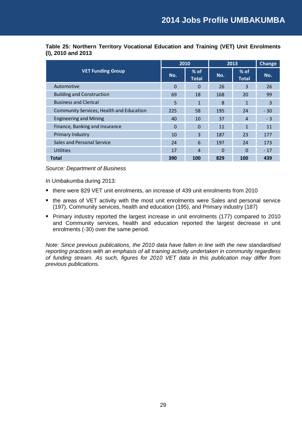|                                          |          | 2010                   | 2013 | <b>Change</b>          |       |
|------------------------------------------|----------|------------------------|------|------------------------|-------|
| <b>VET Funding Group</b>                 | No.      | $%$ of<br><b>Total</b> | No.  | $%$ of<br><b>Total</b> | No.   |
| Automotive                               | $\Omega$ | $\Omega$               | 26   | 3                      | 26    |
| <b>Building and Construction</b>         | 69       | 18                     | 168  | 20                     | 99    |
| <b>Business and Clerical</b>             | 5        | 1                      | 8    | 1                      | 3     |
| Community Services, Health and Education | 225      | 58                     | 195  | 24                     | $-30$ |
| <b>Engineering and Mining</b>            | 40       | 10                     | 37   | $\overline{4}$         | $-3$  |
| Finance, Banking and Insurance           | $\Omega$ | $\Omega$               | 11   | 1                      | 11    |
| Primary Industry                         | 10       | 3                      | 187  | 23                     | 177   |
| Sales and Personal Service               | 24       | 6                      | 197  | 24                     | 173   |
| Utilities                                | 17       | $\overline{4}$         | 0    | 0                      | $-17$ |
| <b>Total</b>                             | 390      | 100                    | 829  | 100                    | 439   |

**Table 25: Northern Territory Vocational Education and Training (VET) Unit Enrolments (l), 2010 and 2013**

*Source: Department of Business*

In Umbakumba during 2013:

- there were 829 VET unit enrolments, an increase of 439 unit enrolments from 2010
- the areas of VET activity with the most unit enrolments were Sales and personal service (197), Community services, health and education (195), and Primary industry (187)
- **Primary industry reported the largest increase in unit enrolments (177) compared to 2010** and Community services, health and education reported the largest decrease in unit enrolments (-30) over the same period.

*Note: Since previous publications, the 2010 data have fallen in line with the new standardised reporting practices with an emphasis of all training activity undertaken in community regardless of funding stream. As such, figures for 2010 VET data in this publication may differ from previous publications.*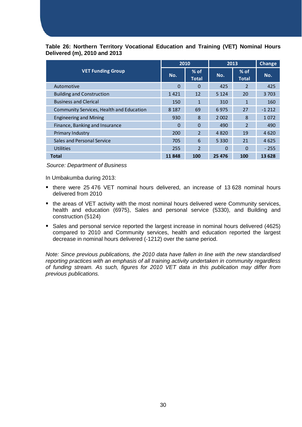#### **Table 26: Northern Territory Vocational Education and Training (VET) Nominal Hours Delivered (m), 2010 and 2013**

|                                          | 2010     |                        | 2013     | <b>Change</b>          |         |
|------------------------------------------|----------|------------------------|----------|------------------------|---------|
| <b>VET Funding Group</b>                 | No.      | $%$ of<br><b>Total</b> | No.      | $%$ of<br><b>Total</b> | No.     |
| Automotive                               | $\Omega$ | $\Omega$               | 425      | 2                      | 425     |
| <b>Building and Construction</b>         | 1421     | 12                     | 5 1 2 4  | 20                     | 3 7 0 3 |
| <b>Business and Clerical</b>             | 150      | 1                      | 310      | 1                      | 160     |
| Community Services, Health and Education | 8 1 8 7  | 69                     | 6975     | 27                     | $-1212$ |
| <b>Engineering and Mining</b>            | 930      | 8                      | 2 0 0 2  | 8                      | 1072    |
| Finance, Banking and Insurance           | $\Omega$ | 0                      | 490      | $\overline{2}$         | 490     |
| Primary Industry                         | 200      | $\overline{2}$         | 4820     | 19                     | 4620    |
| Sales and Personal Service               | 705      | 6                      | 5 3 3 0  | 21                     | 4625    |
| <b>Utilities</b>                         | 255      | $\overline{2}$         | $\Omega$ | $\Omega$               | $-255$  |
| Total                                    | 11848    | 100                    | 25 4 7 6 | 100                    | 13 628  |

#### *Source: Department of Business*

In Umbakumba during 2013:

- there were 25 476 VET nominal hours delivered, an increase of 13 628 nominal hours delivered from 2010
- **the areas of VET activity with the most nominal hours delivered were Community services,** health and education (6975), Sales and personal service (5330), and Building and construction (5124)
- **Sales and personal service reported the largest increase in nominal hours delivered (4625)** compared to 2010 and Community services, health and education reported the largest decrease in nominal hours delivered (-1212) over the same period.

*Note: Since previous publications, the 2010 data have fallen in line with the new standardised reporting practices with an emphasis of all training activity undertaken in community regardless of funding stream. As such, figures for 2010 VET data in this publication may differ from previous publications.*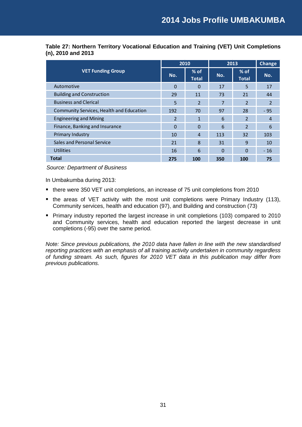|                                          | 2010     |                        | 2013     | <b>Change</b>          |       |
|------------------------------------------|----------|------------------------|----------|------------------------|-------|
| <b>VET Funding Group</b>                 | No.      | $%$ of<br><b>Total</b> | No.      | $%$ of<br><b>Total</b> | No.   |
| Automotive                               | $\Omega$ | $\Omega$               | 17       | 5                      | 17    |
| <b>Building and Construction</b>         | 29       | 11                     | 73       | 21                     | 44    |
| <b>Business and Clerical</b>             | 5        | 2                      | 7        | $\overline{2}$         | 2     |
| Community Services, Health and Education | 192      | 70                     | 97       | 28                     | - 95  |
| <b>Engineering and Mining</b>            | 2        | 1                      | 6        | $\overline{2}$         | 4     |
| Finance, Banking and Insurance           | 0        | 0                      | 6        | $\overline{2}$         | 6     |
| Primary Industry                         | 10       | $\overline{4}$         | 113      | 32                     | 103   |
| Sales and Personal Service               | 21       | 8                      | 31       | 9                      | 10    |
| <b>Utilities</b>                         | 16       | 6                      | $\Omega$ | 0                      | $-16$ |
| <b>Total</b>                             | 275      | 100                    | 350      | 100                    | 75    |

**Table 27: Northern Territory Vocational Education and Training (VET) Unit Completions (n), 2010 and 2013**

*Source: Department of Business*

In Umbakumba during 2013:

- there were 350 VET unit completions, an increase of 75 unit completions from 2010
- the areas of VET activity with the most unit completions were Primary Industry (113), Community services, health and education (97), and Building and construction (73)
- **Primary industry reported the largest increase in unit completions (103) compared to 2010** and Community services, health and education reported the largest decrease in unit completions (-95) over the same period.

*Note: Since previous publications, the 2010 data have fallen in line with the new standardised reporting practices with an emphasis of all training activity undertaken in community regardless of funding stream. As such, figures for 2010 VET data in this publication may differ from previous publications.*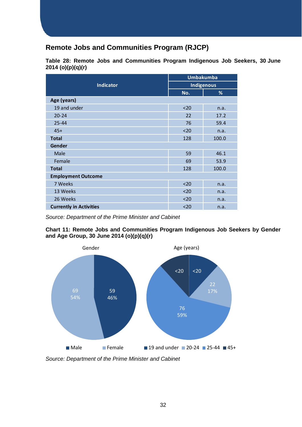## <span id="page-31-0"></span>**Remote Jobs and Communities Program (RJCP)**

|                                | <b>Umbakumba</b>  |       |  |  |  |
|--------------------------------|-------------------|-------|--|--|--|
| <b>Indicator</b>               | <b>Indigenous</b> |       |  |  |  |
|                                | No.               | %     |  |  |  |
| Age (years)                    |                   |       |  |  |  |
| 19 and under                   | $20$              | n.a.  |  |  |  |
| $20 - 24$                      | 22                | 17.2  |  |  |  |
| $25 - 44$                      | 76                | 59.4  |  |  |  |
| $45+$                          | $20$              | n.a.  |  |  |  |
| <b>Total</b>                   | 128               | 100.0 |  |  |  |
| Gender                         |                   |       |  |  |  |
| Male                           | 59                | 46.1  |  |  |  |
| Female                         | 69                | 53.9  |  |  |  |
| <b>Total</b>                   | 128               | 100.0 |  |  |  |
| <b>Employment Outcome</b>      |                   |       |  |  |  |
| 7 Weeks                        | $20$              | n.a.  |  |  |  |
| 13 Weeks                       | $20$              | n.a.  |  |  |  |
| 26 Weeks                       | $20$              | n.a.  |  |  |  |
| <b>Currently in Activities</b> | $20$              | n.a.  |  |  |  |

**Table 28: Remote Jobs and Communities Program Indigenous Job Seekers, 30 June 2014 (o)(p)(q)(r)**

*Source: Department of the Prime Minister and Cabinet*

**Chart 11: Remote Jobs and Communities Program Indigenous Job Seekers by Gender and Age Group, 30 June 2014 (o)(p)(q)(r)**



*Source: Department of the Prime Minister and Cabinet*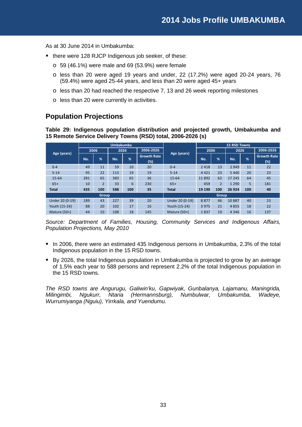As at 30 June 2014 in Umbakumba:

- there were 128 RJCP Indigenous job seeker, of these:
	- $\circ$  59 (46.1%) were male and 69 (53.9%) were female
	- o less than 20 were aged 19 years and under, 22 (17.2%) were aged 20-24 years, 76 (59.4%) were aged 25-44 years, and less than 20 were aged 45+ years
	- o less than 20 had reached the respective 7, 13 and 26 week reporting milestones
	- o less than 20 were currently in activities.

## <span id="page-32-0"></span>**Population Projections**

**Table 29: Indigenous population distribution and projected growth, Umbakumba and 15 Remote Service Delivery Towns (RSD) total, 2006-2026 (s)**

|                 | <b>Umbakumba</b> |                |      |     |                           |                 | <b>15 RSD Towns</b> |                |         |      |                           |  |
|-----------------|------------------|----------------|------|-----|---------------------------|-----------------|---------------------|----------------|---------|------|---------------------------|--|
|                 | 2006             |                | 2026 |     | 2006-2026                 |                 |                     | 2006           |         | 2026 | 2006-2026                 |  |
| Age (years)     | No.              | $\frac{9}{6}$  | No.  | %   | <b>Growth Rate</b><br>(%) | Age (years)     | No.                 | %              | No.     | %    | <b>Growth Rate</b><br>(%) |  |
| $0 - 4$         | 49               | 11             | 59   | 10  | 20                        | $0 - 4$         | 2 4 1 8             | 13             | 2 9 4 9 | 11   | 22                        |  |
| $5 - 14$        | 95               | 22             | 113  | 19  | 19                        | $5 - 14$        | 4421                | 23             | 5 4 4 0 | 20   | 23                        |  |
| 15-64           | 281              | 65             | 383  | 65  | 36                        | $15 - 64$       | 11892               | 62             | 17 245  | 64   | 45                        |  |
| $65+$           | 10               | $\overline{2}$ | 33   | 6   | 230                       | $65+$           | 459                 | $\overline{2}$ | 1 2 9 0 | 5    | 181                       |  |
| <b>Total</b>    | 435              | 100            | 588  | 100 | 35                        | <b>Total</b>    | 19 190              | 100            | 26 9 24 | 100  | 40                        |  |
| <b>Group</b>    |                  |                |      |     | <b>Group</b>              |                 |                     |                |         |      |                           |  |
| Under 20 (0-19) | 189              | 43             | 227  | 39  | 20                        | Under 20 (0-19) | 8877                | 46             | 10887   | 40   | 23                        |  |
| Youth (15-24)   | 88               | 20             | 102  | 17  | 16                        | Youth (15-24)   | 3975                | 21             | 4855    | 18   | 22                        |  |
| Mature $(50+)$  | 44               | 10             | 108  | 18  | 145                       | Mature $(50+)$  | 1837                | 10             | 4 3 4 6 | 16   | 137                       |  |

*Source: Department of Families, Housing, Community Services and Indigenous Affairs, Population Projections, May 2010*

- In 2006, there were an estimated 435 Indigenous persons in Umbakumba, 2.3% of the total Indigenous population in the 15 RSD towns.
- By 2026, the total Indigenous population in Umbakumba is projected to grow by an average of 1.5% each year to 588 persons and represent 2.2% of the total Indigenous population in the 15 RSD towns.

*The RSD towns are Angurugu, Galiwin'ku, Gapwiyak, Gunbalanya, Lajamanu, Maningrida, Milingimbi, Ngukurr, Ntaria (Hermannsburg), Numbulwar, Umbakumba, Wadeye, Wurrumiyanga (Nguiu), Yirrkala, and Yuendumu.*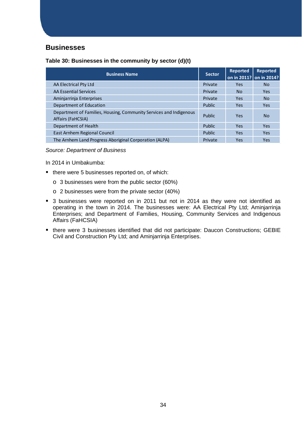#### <span id="page-33-0"></span>**Businesses**

| Table 30: Businesses in the community by sector (d)(t) |  |
|--------------------------------------------------------|--|
|                                                        |  |

| <b>Business Name</b>                                                                    | <b>Sector</b> | <b>Reported</b><br>on in 2011? on in 2014? | Reported   |
|-----------------------------------------------------------------------------------------|---------------|--------------------------------------------|------------|
| AA Electrical Pty Ltd                                                                   | Private       | <b>Yes</b>                                 | No.        |
| AA Essential Services                                                                   | Private       | N <sub>o</sub>                             | <b>Yes</b> |
| Aminjarrinja Enterprises                                                                | Private       | <b>Yes</b>                                 | No.        |
| Department of Education                                                                 | Public        | <b>Yes</b>                                 | <b>Yes</b> |
| Department of Families, Housing, Community Services and Indigenous<br>Affairs (FaHCSIA) | Public        | <b>Yes</b>                                 | No.        |
| Department of Health                                                                    | Public        | <b>Yes</b>                                 | <b>Yes</b> |
| East Arnhem Regional Council                                                            | Public        | <b>Yes</b>                                 | <b>Yes</b> |
| The Arnhem Land Progress Aboriginal Corporation (ALPA)                                  | Private       | Yes                                        | Yes        |

*Source: Department of Business*

- there were 5 businesses reported on, of which:
	- o 3 businesses were from the public sector (60%)
	- o 2 businesses were from the private sector (40%)
- 3 businesses were reported on in 2011 but not in 2014 as they were not identified as operating in the town in 2014. The businesses were: AA Electrical Pty Ltd; Aminjarrinja Enterprises; and Department of Families, Housing, Community Services and Indigenous Affairs (FaHCSIA)
- there were 3 businesses identified that did not participate: Daucon Constructions; GEBIE Civil and Construction Pty Ltd; and Aminjarrinja Enterprises.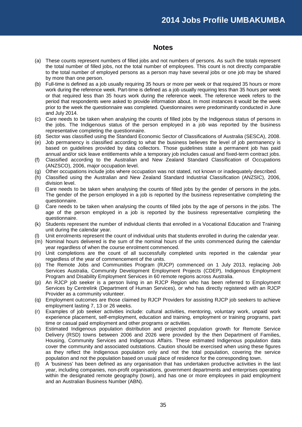#### **Notes**

- <span id="page-34-0"></span>(a) These counts represent numbers of filled jobs and not numbers of persons. As such the totals represent the total number of filled jobs, not the total number of employees. This count is not directly comparable to the total number of employed persons as a person may have several jobs or one job may be shared by more than one person.
- (b) Full-time is defined as a job usually requiring 35 hours or more per week or that required 35 hours or more work during the reference week. Part-time is defined as a job usually requiring less than 35 hours per week or that required less than 35 hours work during the reference week. The reference week refers to the period that respondents were asked to provide information about. In most instances it would be the week prior to the week the questionnaire was completed. Questionnaires were predominantly conducted in June and July 2014.
- (c) Care needs to be taken when analysing the counts of filled jobs by the Indigenous status of persons in the jobs. The Indigenous status of the person employed in a job was reported by the business representative completing the questionnaire.
- (d) Sector was classified using the Standard Economic Sector of Classifications of Australia (SESCA), 2008.
- (e) Job permanency is classified according to what the business believes the level of job permanency is based on guidelines provided by data collectors. Those guidelines state a permanent job has paid annual and/or sick leave entitlements while a temporary job includes casual and fixed-term contract jobs.
- (f) Classified according to the Australian and New Zealand Standard Classification of Occupations (ANZSCO), 2006, major occupation level.
- (g) Other occupations include jobs where occupation was not stated, not known or inadequately described.
- (h) Classified using the Australian and New Zealand Standard Industrial Classification (ANZSIC), 2006, division level.
- (i) Care needs to be taken when analysing the counts of filled jobs by the gender of persons in the jobs. The gender of the person employed in a job is reported by the business representative completing the questionnaire.
- (j) Care needs to be taken when analysing the counts of filled jobs by the age of persons in the jobs. The age of the person employed in a job is reported by the business representative completing the questionnaire.
- (k) Students represent the number of individual clients that enrolled in a Vocational Education and Training unit during the calendar year.
- Unit enrolments represent the count of individual units that students enrolled in during the calendar year.
- (m) Nominal hours delivered is the sum of the nominal hours of the units commenced during the calendar year regardless of when the course enrolment commenced.
- (n) Unit completions are the count of all successfully completed units reported in the calendar year regardless of the year of commencement of the units.
- (o) The Remote Jobs and Communities Program (RJCP) commenced on 1 July 2013, replacing Job Services Australia, Community Development Employment Projects (CDEP), Indigenous Employment Program and Disability Employment Services in 60 remote regions across Australia.
- (p) An RJCP job seeker is a person living in an RJCP Region who has been referred to Employment Services by Centrelink (Department of Human Services), or who has directly registered with an RJCP Provider as a community volunteer.
- (q) Employment outcomes are those claimed by RJCP Providers for assisting RJCP job seekers to achieve employment lasting 7, 13 or 26 weeks.
- (r) Examples of job seeker activities include: cultural activities, mentoring, voluntary work, unpaid work experience placement, self-employment, education and training, employment or training programs, part time or casual paid employment and other programs or activities.
- (s) Estimated Indigenous population distribution and projected population growth for Remote Service Delivery (RSD) towns between 2006 and 2026 were provided by the then Department of Families, Housing, Community Services and Indigenous Affairs. These estimated Indigenous population data cover the community and associated outstations. Caution should be exercised when using these figures as they reflect the Indigenous population only and not the total population, covering the service population and not the population based on usual place of residence for the corresponding town.
- (t) A 'business' has been defined as any organisation that has undertaken productive activities in the last year, including companies, non-profit organisations, government departments and enterprises operating within the designated remote geography (town), and has one or more employees in paid employment and an Australian Business Number (ABN).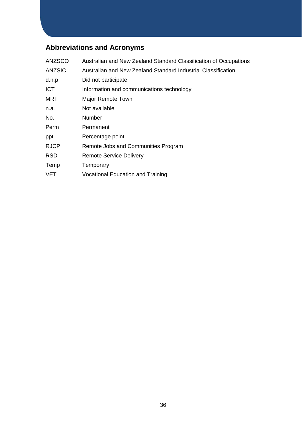## <span id="page-35-0"></span>**Abbreviations and Acronyms**

| <b>ANZSCO</b> | Australian and New Zealand Standard Classification of Occupations |
|---------------|-------------------------------------------------------------------|
| <b>ANZSIC</b> | Australian and New Zealand Standard Industrial Classification     |
| d.n.p         | Did not participate                                               |
| <b>ICT</b>    | Information and communications technology                         |
| <b>MRT</b>    | Major Remote Town                                                 |
| n.a.          | Not available                                                     |
| No.           | Number                                                            |
| Perm          | Permanent                                                         |
| ppt           | Percentage point                                                  |
| <b>RJCP</b>   | Remote Jobs and Communities Program                               |
| <b>RSD</b>    | <b>Remote Service Delivery</b>                                    |
| Temp          | Temporary                                                         |
| <b>VET</b>    | <b>Vocational Education and Training</b>                          |